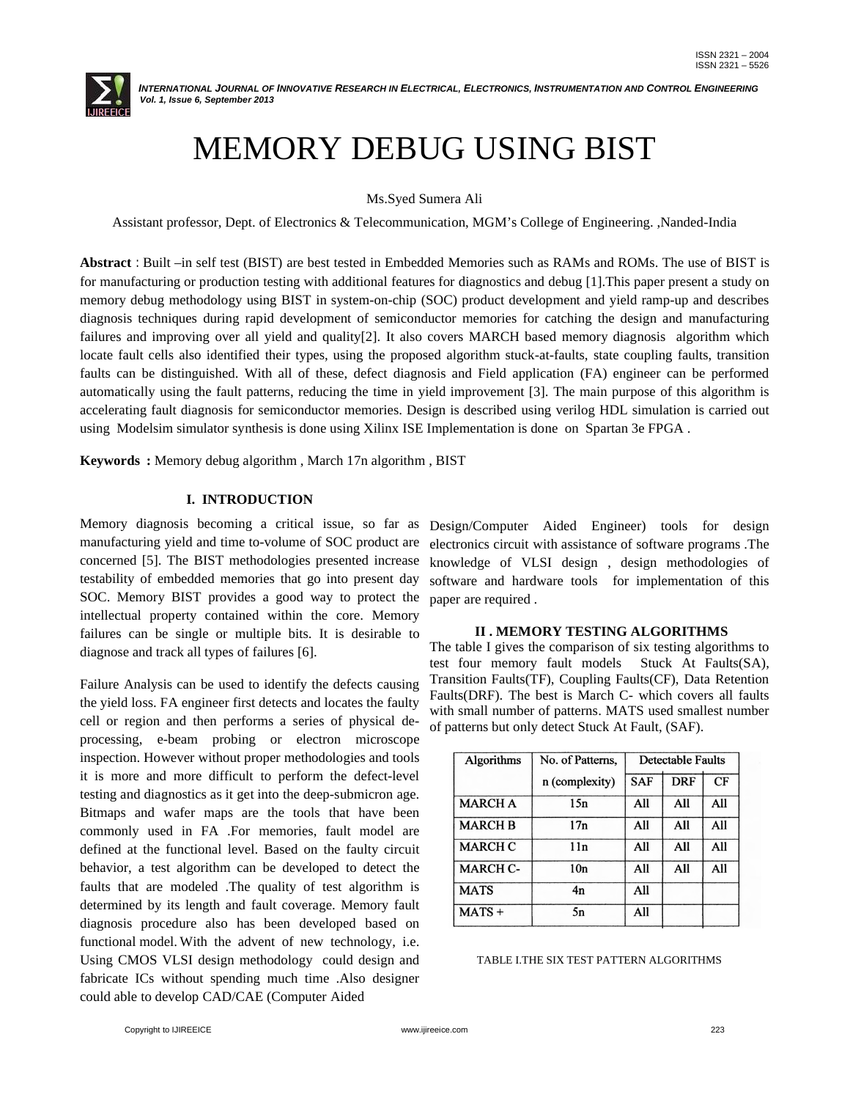

 *INTERNATIONAL JOURNAL OF INNOVATIVE RESEARCH IN ELECTRICAL, ELECTRONICS, INSTRUMENTATION AND CONTROL ENGINEERING Vol. 1, Issue 6, September 2013*

# MEMORY DEBUG USING BIST

Ms.Syed Sumera Ali

Assistant professor, Dept. of Electronics & Telecommunication, MGM's College of Engineering. ,Nanded-India

**Abstract** *:* Built –in self test (BIST) are best tested in Embedded Memories such as RAMs and ROMs. The use of BIST is for manufacturing or production testing with additional features for diagnostics and debug [1].This paper present a study on memory debug methodology using BIST in system-on-chip (SOC) product development and yield ramp-up and describes diagnosis techniques during rapid development of semiconductor memories for catching the design and manufacturing failures and improving over all yield and quality[2]. It also covers MARCH based memory diagnosis algorithm which locate fault cells also identified their types, using the proposed algorithm stuck-at-faults, state coupling faults, transition faults can be distinguished. With all of these, defect diagnosis and Field application (FA) engineer can be performed automatically using the fault patterns, reducing the time in yield improvement [3]. The main purpose of this algorithm is accelerating fault diagnosis for semiconductor memories. Design is described using verilog HDL simulation is carried out using Modelsim simulator synthesis is done using Xilinx ISE Implementation is done on Spartan 3e FPGA .

**Keywords****:** Memory debug algorithm , March 17n algorithm , BIST

# **I. INTRODUCTION**

Memory diagnosis becoming a critical issue, so far as Design/Computer Aided Engineer) tools for design manufacturing yield and time to-volume of SOC product are concerned [5]. The BIST methodologies presented increase testability of embedded memories that go into present day SOC. Memory BIST provides a good way to protect the intellectual property contained within the core. Memory failures can be single or multiple bits. It is desirable to diagnose and track all types of failures [6].

Failure Analysis can be used to identify the defects causing the yield loss. FA engineer first detects and locates the faulty cell or region and then performs a series of physical deprocessing, e-beam probing or electron microscope inspection. However without proper methodologies and tools it is more and more difficult to perform the defect-level testing and diagnostics as it get into the deep-submicron age. Bitmaps and wafer maps are the tools that have been commonly used in FA .For memories, fault model are defined at the functional level. Based on the faulty circuit behavior, a test algorithm can be developed to detect the faults that are modeled .The quality of test algorithm is determined by its length and fault coverage. Memory fault diagnosis procedure also has been developed based on functional model. With the advent of new technology, i.e. Using CMOS VLSI design methodology could design and fabricate ICs without spending much time .Also designer could able to develop CAD/CAE (Computer Aided

electronics circuit with assistance of software programs .The knowledge of VLSI design , design methodologies of software and hardware tools for implementation of this paper are required .

#### **II . MEMORY TESTING ALGORITHMS**

The table I gives the comparison of six testing algorithms to test four memory fault models Stuck At Faults(SA), Transition Faults(TF), Coupling Faults(CF), Data Retention Faults(DRF). The best is March C- which covers all faults with small number of patterns. MATS used smallest number of patterns but only detect Stuck At Fault, (SAF).

| <b>Algorithms</b> | No. of Patterns, | <b>Detectable Faults</b> |            |     |
|-------------------|------------------|--------------------------|------------|-----|
|                   | n (complexity)   | <b>SAF</b>               | <b>DRF</b> | CF  |
| <b>MARCH A</b>    | 15n              | All                      | All        | All |
| <b>MARCH B</b>    | 17n              | All                      | All        | All |
| <b>MARCH C</b>    | 11n              | All                      | All        | All |
| <b>MARCH C-</b>   | 10n              | All                      | All        | All |
| <b>MATS</b>       | 4n               | All                      |            |     |
| $MATS +$          | 5n               | All                      |            |     |

#### TABLE I.THE SIX TEST PATTERN ALGORITHMS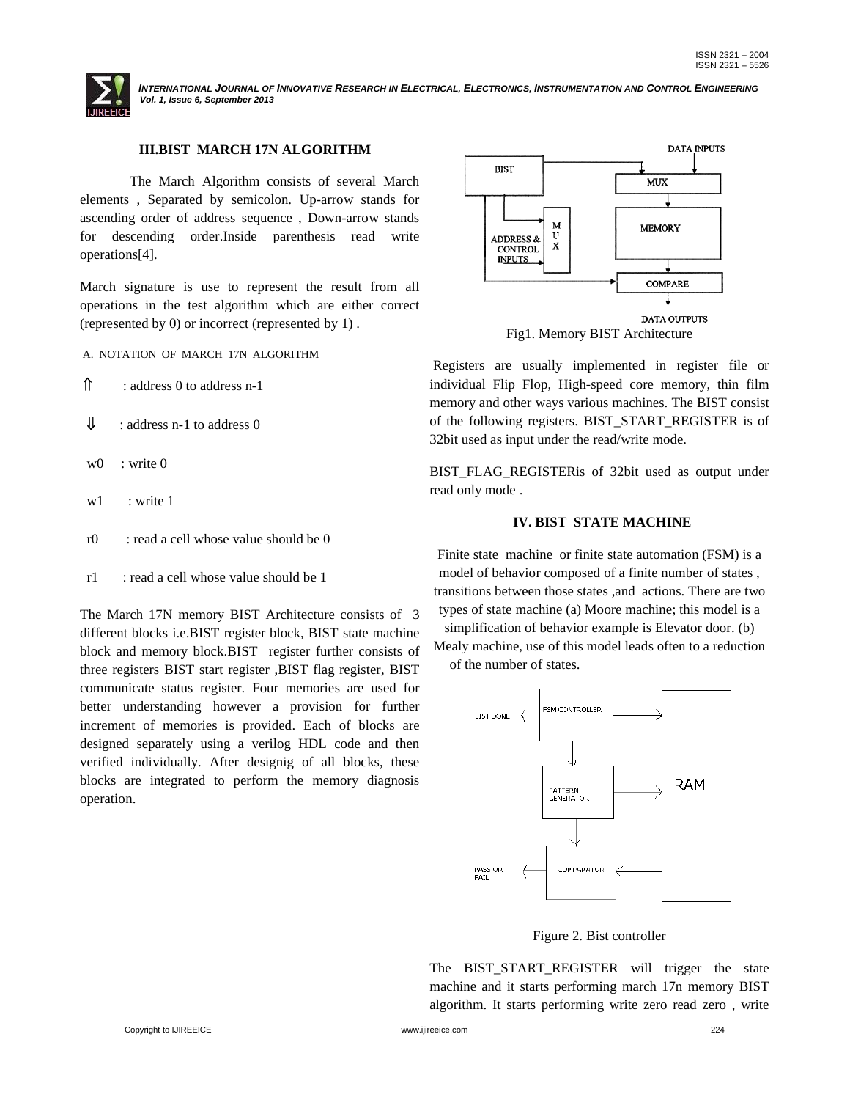

 *INTERNATIONAL JOURNAL OF INNOVATIVE RESEARCH IN ELECTRICAL, ELECTRONICS, INSTRUMENTATION AND CONTROL ENGINEERING Vol. 1, Issue 6, September 2013*

## **III.BIST MARCH 17N ALGORITHM**

The March Algorithm consists of several March elements , Separated by semicolon. Up-arrow stands for ascending order of address sequence , Down-arrow stands for descending order.Inside parenthesis read write operations[4].

March signature is use to represent the result from all operations in the test algorithm which are either correct (represented by 0) or incorrect (represented by 1) .

A. NOTATION OF MARCH 17N ALGORITHM

: address 0 to address n-1

- $\downarrow \qquad$  : address n-1 to address 0
- $w0 \cdot \text{write } 0$
- w<sub>1</sub> : write 1
- r0 : read a cell whose value should be 0
- $r1$  : read a cell whose value should be 1

The March 17N memory BIST Architecture consists of 3 different blocks i.e.BIST register block, BIST state machine block and memory block.BIST register further consists of three registers BIST start register ,BIST flag register, BIST communicate status register. Four memories are used for better understanding however a provision for further increment of memories is provided. Each of blocks are designed separately using a verilog HDL code and then verified individually. After designig of all blocks, these blocks are integrated to perform the memory diagnosis operation.



Registers are usually implemented in register file or individual Flip Flop, High-speed core memory, thin film memory and other ways various machines. The BIST consist of the following registers. BIST\_START\_REGISTER is of 32bit used as input under the read/write mode.

BIST\_FLAG\_REGISTERis of 32bit used as output under read only mode .

#### **IV. BIST STATE MACHINE**

Finite state machine or finite state automation (FSM) is a model of behavior composed of a finite number of states , transitions between those states ,and actions. There are two types of state machine (a) Moore machine; this model is a

simplification of behavior example is Elevator door. (b) Mealy machine, use of this model leads often to a reduction

of the number of states.



Figure 2. Bist controller

The BIST START REGISTER will trigger the state machine and it starts performing march 17n memory BIST algorithm. It starts performing write zero read zero , write